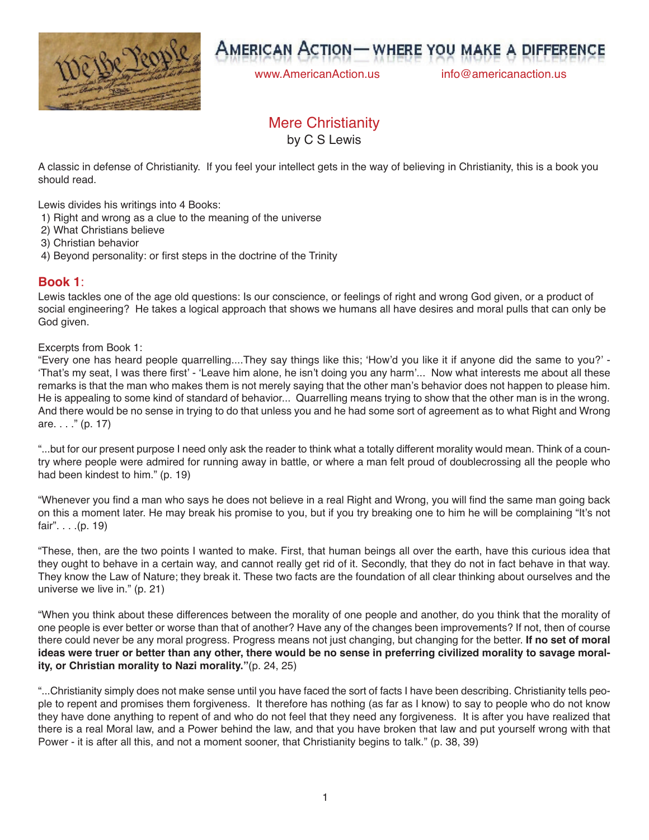

# **AMERICAN ACTION - WHERE YOU MAKE A DIFFERENCE**

www.AmericanAction.us info@americanaction.us

## Mere Christianity by C S Lewis

A classic in defense of Christianity. If you feel your intellect gets in the way of believing in Christianity, this is a book you should read.

Lewis divides his writings into 4 Books:

- 1) Right and wrong as a clue to the meaning of the universe
- 2) What Christians believe
- 3) Christian behavior
- 4) Beyond personality: or first steps in the doctrine of the Trinity

#### **Book 1**:

Lewis tackles one of the age old questions: Is our conscience, or feelings of right and wrong God given, or a product of social engineering? He takes a logical approach that shows we humans all have desires and moral pulls that can only be God given.

Excerpts from Book 1:

"Every one has heard people quarrelling....They say things like this; ʻHow'd you like it if anyone did the same to you?' - ʻThat's my seat, I was there first' - ʻLeave him alone, he isn't doing you any harm'... Now what interests me about all these remarks is that the man who makes them is not merely saying that the other man's behavior does not happen to please him. He is appealing to some kind of standard of behavior... Quarrelling means trying to show that the other man is in the wrong. And there would be no sense in trying to do that unless you and he had some sort of agreement as to what Right and Wrong are. . . ." (p. 17)

"...but for our present purpose I need only ask the reader to think what a totally different morality would mean. Think of a country where people were admired for running away in battle, or where a man felt proud of doublecrossing all the people who had been kindest to him." (p. 19)

"Whenever you find a man who says he does not believe in a real Right and Wrong, you will find the same man going back on this a moment later. He may break his promise to you, but if you try breaking one to him he will be complaining "It's not fair". . . .(p. 19)

"These, then, are the two points I wanted to make. First, that human beings all over the earth, have this curious idea that they ought to behave in a certain way, and cannot really get rid of it. Secondly, that they do not in fact behave in that way. They know the Law of Nature; they break it. These two facts are the foundation of all clear thinking about ourselves and the universe we live in." (p. 21)

"When you think about these differences between the morality of one people and another, do you think that the morality of one people is ever better or worse than that of another? Have any of the changes been improvements? If not, then of course there could never be any moral progress. Progress means not just changing, but changing for the better. **If no set of moral** ideas were truer or better than any other, there would be no sense in preferring civilized morality to savage moral**ity, or Christian morality to Nazi morality."**(p. 24, 25)

"...Christianity simply does not make sense until you have faced the sort of facts I have been describing. Christianity tells people to repent and promises them forgiveness. It therefore has nothing (as far as I know) to say to people who do not know they have done anything to repent of and who do not feel that they need any forgiveness. It is after you have realized that there is a real Moral law, and a Power behind the law, and that you have broken that law and put yourself wrong with that Power - it is after all this, and not a moment sooner, that Christianity begins to talk." (p. 38, 39)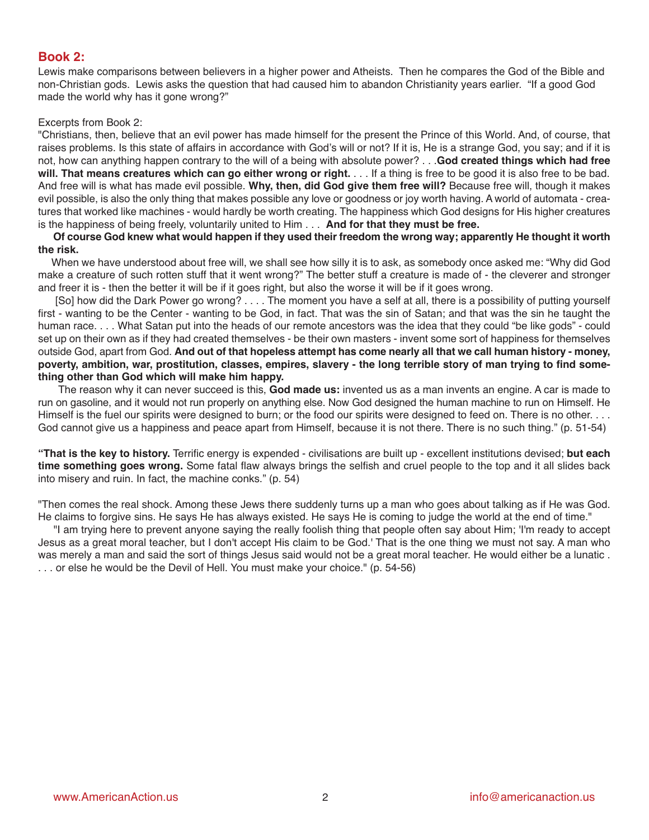## **Book 2:**

Lewis make comparisons between believers in a higher power and Atheists. Then he compares the God of the Bible and non-Christian gods. Lewis asks the question that had caused him to abandon Christianity years earlier. "If a good God made the world why has it gone wrong?"

#### Excerpts from Book 2:

"Christians, then, believe that an evil power has made himself for the present the Prince of this World. And, of course, that raises problems. Is this state of affairs in accordance with God's will or not? If it is, He is a strange God, you say; and if it is not, how can anything happen contrary to the will of a being with absolute power? . . .**God created things which had free will. That means creatures which can go either wrong or right.** . . . If a thing is free to be good it is also free to be bad. And free will is what has made evil possible. **Why, then, did God give them free will?** Because free will, though it makes evil possible, is also the only thing that makes possible any love or goodness or joy worth having. A world of automata - creatures that worked like machines - would hardly be worth creating. The happiness which God designs for His higher creatures is the happiness of being freely, voluntarily united to Him . . . **And for that they must be free.**

#### Of course God knew what would happen if they used their freedom the wrong way; apparently He thought it worth **the risk.**

When we have understood about free will, we shall see how silly it is to ask, as somebody once asked me: "Why did God make a creature of such rotten stuff that it went wrong?" The better stuff a creature is made of - the cleverer and stronger and freer it is - then the better it will be if it goes right, but also the worse it will be if it goes wrong.

[So] how did the Dark Power go wrong? . . . . The moment you have a self at all, there is a possibility of putting yourself first - wanting to be the Center - wanting to be God, in fact. That was the sin of Satan; and that was the sin he taught the human race. . . . What Satan put into the heads of our remote ancestors was the idea that they could "be like gods" - could set up on their own as if they had created themselves - be their own masters - invent some sort of happiness for themselves outside God, apart from God. And out of that hopeless attempt has come nearly all that we call human history - money, poverty, ambition, war, prostitution, classes, empires, slavery - the long terrible story of man trying to find some**thing other than God which will make him happy.**

The reason why it can never succeed is this, **God made us:** invented us as a man invents an engine. A car is made to run on gasoline, and it would not run properly on anything else. Now God designed the human machine to run on Himself. He Himself is the fuel our spirits were designed to burn; or the food our spirits were designed to feed on. There is no other. . . . God cannot give us a happiness and peace apart from Himself, because it is not there. There is no such thing." (p. 51-54)

**"That is the key to history.** Terrific energy is expended - civilisations are built up - excellent institutions devised; **but each time something goes wrong.** Some fatal flaw always brings the selfish and cruel people to the top and it all slides back into misery and ruin. In fact, the machine conks." (p. 54)

"Then comes the real shock. Among these Jews there suddenly turns up a man who goes about talking as if He was God. He claims to forgive sins. He says He has always existed. He says He is coming to judge the world at the end of time."

"I am trying here to prevent anyone saying the really foolish thing that people often say about Him; 'I'm ready to accept Jesus as a great moral teacher, but I don't accept His claim to be God.' That is the one thing we must not say. A man who was merely a man and said the sort of things Jesus said would not be a great moral teacher. He would either be a lunatic. . . . or else he would be the Devil of Hell. You must make your choice." (p. 54-56)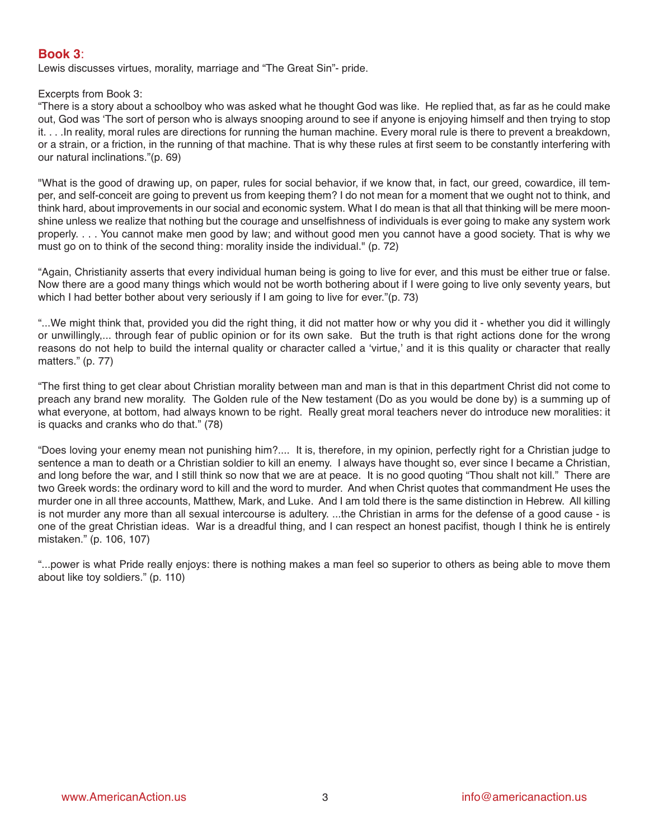## **Book 3**:

Lewis discusses virtues, morality, marriage and "The Great Sin"- pride.

#### Excerpts from Book 3:

"There is a story about a schoolboy who was asked what he thought God was like. He replied that, as far as he could make out, God was ʻThe sort of person who is always snooping around to see if anyone is enjoying himself and then trying to stop it. . . .In reality, moral rules are directions for running the human machine. Every moral rule is there to prevent a breakdown, or a strain, or a friction, in the running of that machine. That is why these rules at first seem to be constantly interfering with our natural inclinations."(p. 69)

"What is the good of drawing up, on paper, rules for social behavior, if we know that, in fact, our greed, cowardice, ill temper, and self-conceit are going to prevent us from keeping them? I do not mean for a moment that we ought not to think, and think hard, about improvements in our social and economic system. What I do mean is that all that thinking will be mere moonshine unless we realize that nothing but the courage and unselfishness of individuals is ever going to make any system work properly. . . . You cannot make men good by law; and without good men you cannot have a good society. That is why we must go on to think of the second thing: morality inside the individual." (p. 72)

"Again, Christianity asserts that every individual human being is going to live for ever, and this must be either true or false. Now there are a good many things which would not be worth bothering about if I were going to live only seventy years, but which I had better bother about very seriously if I am going to live for ever."(p. 73)

"...We might think that, provided you did the right thing, it did not matter how or why you did it - whether you did it willingly or unwillingly,... through fear of public opinion or for its own sake. But the truth is that right actions done for the wrong reasons do not help to build the internal quality or character called a ʻvirtue,' and it is this quality or character that really matters." (p. 77)

"The first thing to get clear about Christian morality between man and man is that in this department Christ did not come to preach any brand new morality. The Golden rule of the New testament (Do as you would be done by) is a summing up of what everyone, at bottom, had always known to be right. Really great moral teachers never do introduce new moralities: it is quacks and cranks who do that." (78)

"Does loving your enemy mean not punishing him?.... It is, therefore, in my opinion, perfectly right for a Christian judge to sentence a man to death or a Christian soldier to kill an enemy. I always have thought so, ever since I became a Christian, and long before the war, and I still think so now that we are at peace. It is no good quoting "Thou shalt not kill." There are two Greek words: the ordinary word to kill and the word to murder. And when Christ quotes that commandment He uses the murder one in all three accounts, Matthew, Mark, and Luke. And I am told there is the same distinction in Hebrew. All killing is not murder any more than all sexual intercourse is adultery. ...the Christian in arms for the defense of a good cause - is one of the great Christian ideas. War is a dreadful thing, and I can respect an honest pacifist, though I think he is entirely mistaken." (p. 106, 107)

"...power is what Pride really enjoys: there is nothing makes a man feel so superior to others as being able to move them about like toy soldiers." (p. 110)